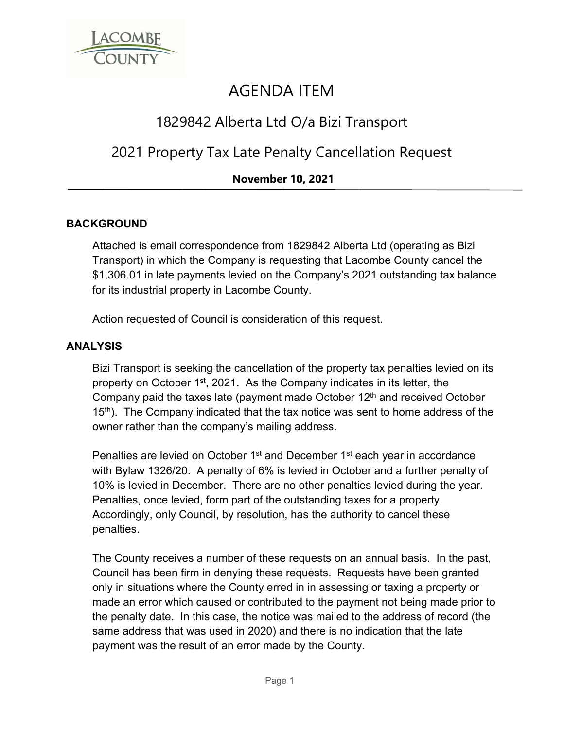

# AGENDA ITEM

## 1829842 Alberta Ltd O/a Bizi Transport

# 2021 Property Tax Late Penalty Cancellation Request

### **November 10, 2021**

#### **BACKGROUND**

Attached is email correspondence from 1829842 Alberta Ltd (operating as Bizi Transport) in which the Company is requesting that Lacombe County cancel the \$1,306.01 in late payments levied on the Company's 2021 outstanding tax balance for its industrial property in Lacombe County.

Action requested of Council is consideration of this request.

#### **ANALYSIS**

Bizi Transport is seeking the cancellation of the property tax penalties levied on its property on October 1st, 2021. As the Company indicates in its letter, the Company paid the taxes late (payment made October  $12<sup>th</sup>$  and received October  $15<sup>th</sup>$ ). The Company indicated that the tax notice was sent to home address of the owner rather than the company's mailing address.

Penalties are levied on October 1<sup>st</sup> and December 1<sup>st</sup> each year in accordance with Bylaw 1326/20. A penalty of 6% is levied in October and a further penalty of 10% is levied in December. There are no other penalties levied during the year. Penalties, once levied, form part of the outstanding taxes for a property. Accordingly, only Council, by resolution, has the authority to cancel these penalties.

The County receives a number of these requests on an annual basis. In the past, Council has been firm in denying these requests. Requests have been granted only in situations where the County erred in in assessing or taxing a property or made an error which caused or contributed to the payment not being made prior to the penalty date. In this case, the notice was mailed to the address of record (the same address that was used in 2020) and there is no indication that the late payment was the result of an error made by the County.